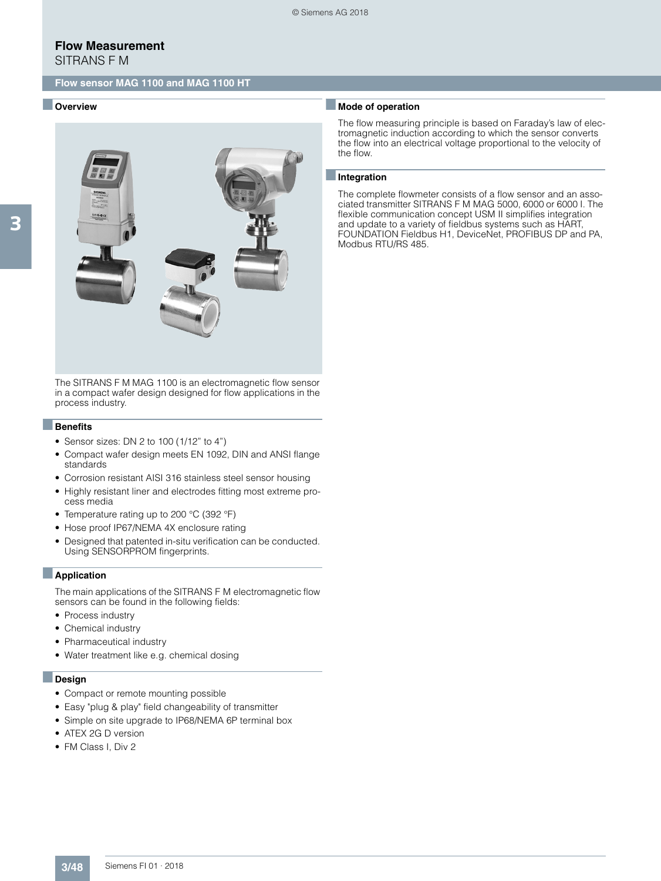## **Flow Measurement**

SITRANS F M

### **Flow sensor MAG 1100 and MAG 1100 HT**

### ■ **Overview**



The SITRANS F M MAG 1100 is an electromagnetic flow sensor in a compact wafer design designed for flow applications in the process industry.

### ■**Benefits**

- Sensor sizes: DN 2 to 100 (1/12" to 4")
- Compact wafer design meets EN 1092, DIN and ANSI flange standards
- Corrosion resistant AISI 316 stainless steel sensor housing
- Highly resistant liner and electrodes fitting most extreme process media
- Temperature rating up to 200 °C (392 °F)
- Hose proof IP67/NEMA 4X enclosure rating
- Designed that patented in-situ verification can be conducted. Using SENSORPROM fingerprints.

#### ■**Application**

The main applications of the SITRANS F M electromagnetic flow sensors can be found in the following fields:

- Process industry
- Chemical industry
- Pharmaceutical industry
- Water treatment like e.g. chemical dosing

### ■**Design**

- Compact or remote mounting possible
- Easy "plug & play" field changeability of transmitter
- Simple on site upgrade to IP68/NEMA 6P terminal box
- ATEX 2G D version
- FM Class I, Div 2

### ■ **Mode of operation**

The flow measuring principle is based on Faraday's law of electromagnetic induction according to which the sensor converts the flow into an electrical voltage proportional to the velocity of the flow.

#### ■**Integration**

The complete flowmeter consists of a flow sensor and an associated transmitter SITRANS F M MAG 5000, 6000 or 6000 I. The flexible communication concept USM II simplifies integration and update to a variety of fieldbus systems such as HART, FOUNDATION Fieldbus H1, DeviceNet, PROFIBUS DP and PA, Modbus RTU/RS 485.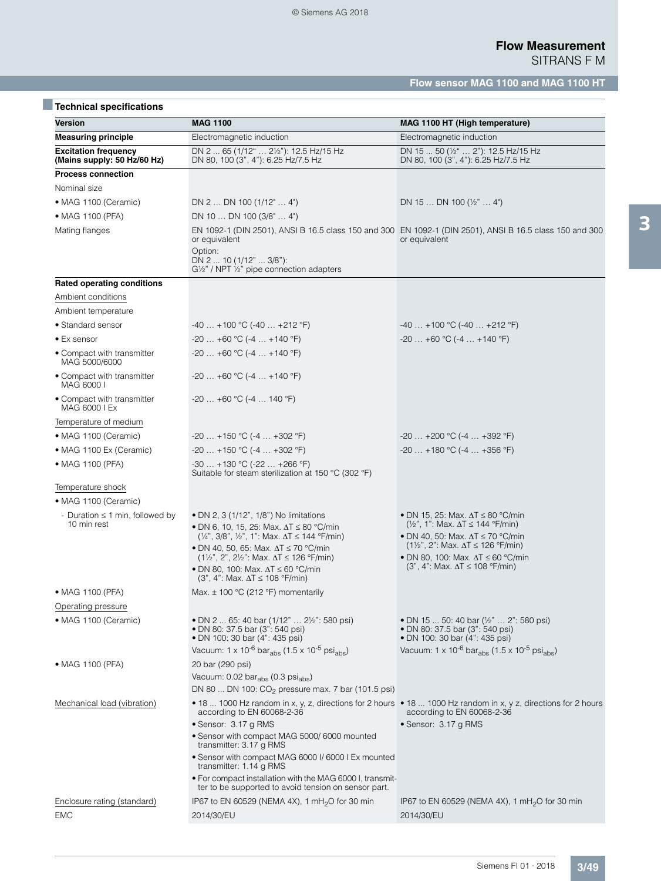| <b>Technical specifications</b>                            |                                                                                                                                                              |                                                                                                                                              |
|------------------------------------------------------------|--------------------------------------------------------------------------------------------------------------------------------------------------------------|----------------------------------------------------------------------------------------------------------------------------------------------|
| Version                                                    | <b>MAG 1100</b>                                                                                                                                              | MAG 1100 HT (High temperature)                                                                                                               |
| <b>Measuring principle</b>                                 | Electromagnetic induction                                                                                                                                    | Electromagnetic induction                                                                                                                    |
| <b>Excitation frequency</b><br>(Mains supply: 50 Hz/60 Hz) | DN 2  65 (1/12"  21/2"): 12.5 Hz/15 Hz<br>DN 80, 100 (3", 4"): 6.25 Hz/7.5 Hz                                                                                | DN 15  50 (1/2"  2"): 12.5 Hz/15 Hz<br>DN 80, 100 (3", 4"): 6.25 Hz/7.5 Hz                                                                   |
| <b>Process connection</b>                                  |                                                                                                                                                              |                                                                                                                                              |
| Nominal size                                               |                                                                                                                                                              |                                                                                                                                              |
| • MAG 1100 (Ceramic)                                       | DN $2 \ldots$ DN 100 (1/12" $\ldots$ 4")                                                                                                                     | DN 15  DN 100 $(\frac{1}{2}$ "  4")                                                                                                          |
| • MAG 1100 (PFA)                                           | DN 10  DN 100 (3/8"  4")                                                                                                                                     |                                                                                                                                              |
| Mating flanges                                             | or equivalent<br>Option:<br>DN $2 \dots 10 (1/12" \dots 3/8")$ :                                                                                             | EN 1092-1 (DIN 2501), ANSI B 16.5 class 150 and 300 EN 1092-1 (DIN 2501), ANSI B 16.5 class 150 and 300<br>or equivalent                     |
|                                                            | G1/2" / NPT 1/2" pipe connection adapters                                                                                                                    |                                                                                                                                              |
| <b>Rated operating conditions</b>                          |                                                                                                                                                              |                                                                                                                                              |
| Ambient conditions                                         |                                                                                                                                                              |                                                                                                                                              |
| Ambient temperature                                        |                                                                                                                                                              |                                                                                                                                              |
| • Standard sensor                                          | $-40+100$ °C ( $-40+212$ °F)                                                                                                                                 | $-40+100$ °C ( $-40+212$ °F)                                                                                                                 |
| • Ex sensor                                                | $-20+60$ °C ( $-4+140$ °F)                                                                                                                                   | $-20+60$ °C ( $-4+140$ °F)                                                                                                                   |
| • Compact with transmitter<br>MAG 5000/6000                | $-20+60$ °C ( $-4+140$ °F)                                                                                                                                   |                                                                                                                                              |
| • Compact with transmitter<br>MAG 6000 I                   | $-20$ $+60$ °C ( $-4$ $+140$ °F)                                                                                                                             |                                                                                                                                              |
| • Compact with transmitter<br>MAG 6000 I Ex                | $-20+60$ °C (-4  140 °F)                                                                                                                                     |                                                                                                                                              |
| Temperature of medium                                      |                                                                                                                                                              |                                                                                                                                              |
| • MAG 1100 (Ceramic)                                       | $-20+150$ °C ( $-4+302$ °F)                                                                                                                                  | $-20$ $+200$ °C ( $-4$ $+392$ °F)                                                                                                            |
| • MAG 1100 Ex (Ceramic)                                    | $-20+150$ °C (-4 $+302$ °F)                                                                                                                                  | $-20$ +180 °C (-4  +356 °F)                                                                                                                  |
| • MAG 1100 (PFA)                                           | $-30+130$ °C ( $-22+266$ °F)<br>Suitable for steam sterilization at 150 $^{\circ}$ C (302 $^{\circ}$ F)                                                      |                                                                                                                                              |
| Temperature shock                                          |                                                                                                                                                              |                                                                                                                                              |
| • MAG 1100 (Ceramic)                                       |                                                                                                                                                              |                                                                                                                                              |
| - Duration $\leq$ 1 min, followed by<br>10 min rest        | • DN 2, 3 (1/12", 1/8") No limitations<br>• DN 6. 10. 15. 25: Max. $\Delta T \leq 80$ °C/min<br>$(1/4$ ", 3/8", $1/2$ ", 1": Max. $\Delta T \le 144$ °F/min) | • DN 15, 25: Max. $\Delta T \leq 80$ °C/min<br>$(\frac{1}{2}$ ", 1": Max. $\Delta T \le 144$ °F/min)<br>• DN 40, 50: Max. ∆T ≤ 70 °C/min     |
|                                                            | • DN 40, 50, 65: Max. $\Delta T \le 70$ °C/min<br>$(1\frac{1}{2}$ ", 2", 2 <sup>1</sup> / <sub>2</sub> ": Max. $\Delta T \le 126$ °F/min)                    | $(1\frac{1}{2}$ , 2": Max. $\Delta T \le 126$ °F/min)<br>• DN 80, 100: Max. $\Delta T \leq 60$ °C/min                                        |
|                                                            | • DN 80, 100: Max. $\Delta T \leq 60$ °C/min<br>$(3", 4": Max. \Delta T \le 108 °F/min)$                                                                     | $(3", 4": Max. \Delta T \le 108 °F/min)$                                                                                                     |
| • MAG 1100 (PFA)                                           | Max. ± 100 °C (212 °F) momentarily                                                                                                                           |                                                                                                                                              |
| Operating pressure                                         |                                                                                                                                                              |                                                                                                                                              |
| • MAG 1100 (Ceramic)                                       | • DN 2  65: 40 bar (1/12"  2½": 580 psi)<br>· DN 80: 37.5 bar (3": 540 psi)<br>• DN 100: 30 bar (4": 435 psi)                                                | • DN 15  50: 40 bar (1/2"  2": 580 psi)<br>• DN 80: 37.5 bar (3": 540 psi)<br>• DN 100: 30 bar (4": 435 psi)                                 |
|                                                            | Vacuum: 1 x 10 <sup>-6</sup> bar <sub>abs</sub> (1.5 x 10 <sup>-5</sup> psi <sub>abs</sub> )                                                                 | Vacuum: $1 \times 10^{-6}$ bar <sub>abs</sub> (1.5 x 10 <sup>-5</sup> psi <sub>abs</sub> )                                                   |
| • MAG 1100 (PFA)                                           | 20 bar (290 psi)                                                                                                                                             |                                                                                                                                              |
|                                                            | Vacuum: 0.02 bar <sub>abs</sub> (0.3 psi <sub>abs</sub> )                                                                                                    |                                                                                                                                              |
|                                                            | DN 80  DN 100: CO <sub>2</sub> pressure max. 7 bar (101.5 psi)                                                                                               |                                                                                                                                              |
| Mechanical load (vibration)                                | according to EN 60068-2-36                                                                                                                                   | • 18  1000 Hz random in x, y, z, directions for 2 hours • 18  1000 Hz random in x, y z, directions for 2 hours<br>according to EN 60068-2-36 |
|                                                            | · Sensor: 3.17 g RMS                                                                                                                                         | • Sensor: 3.17 g RMS                                                                                                                         |
|                                                            | • Sensor with compact MAG 5000/6000 mounted<br>transmitter: 3.17 g RMS                                                                                       |                                                                                                                                              |
|                                                            | · Sensor with compact MAG 6000 I/ 6000 I Ex mounted<br>transmitter: 1.14 g RMS<br>. For compact installation with the MAG 6000 I, transmit-                  |                                                                                                                                              |
|                                                            | ter to be supported to avoid tension on sensor part.                                                                                                         |                                                                                                                                              |
| Enclosure rating (standard)                                | IP67 to EN 60529 (NEMA 4X), 1 mH <sub>2</sub> O for 30 min                                                                                                   | IP67 to EN 60529 (NEMA 4X), 1 mH <sub>2</sub> O for 30 min                                                                                   |
| <b>EMC</b>                                                 | 2014/30/EU                                                                                                                                                   | 2014/30/EU                                                                                                                                   |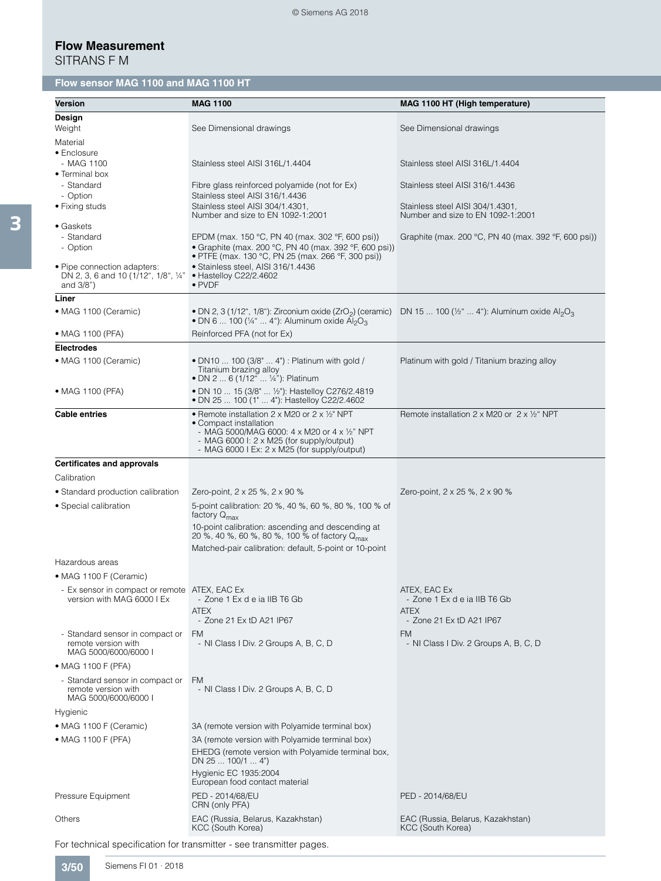| <b>Version</b>                                                                      | <b>MAG 1100</b>                                                                                                                                                                                                                                    | MAG 1100 HT (High temperature)                                                   |
|-------------------------------------------------------------------------------------|----------------------------------------------------------------------------------------------------------------------------------------------------------------------------------------------------------------------------------------------------|----------------------------------------------------------------------------------|
| Design                                                                              |                                                                                                                                                                                                                                                    |                                                                                  |
| Weight                                                                              | See Dimensional drawings                                                                                                                                                                                                                           | See Dimensional drawings                                                         |
| Material                                                                            |                                                                                                                                                                                                                                                    |                                                                                  |
| • Enclosure<br>- MAG 1100                                                           | Stainless steel AISI 316L/1.4404                                                                                                                                                                                                                   | Stainless steel AISI 316L/1.4404                                                 |
| • Terminal box                                                                      |                                                                                                                                                                                                                                                    |                                                                                  |
| - Standard                                                                          | Fibre glass reinforced polyamide (not for Ex)                                                                                                                                                                                                      | Stainless steel AISI 316/1.4436                                                  |
| - Option<br>• Fixing studs                                                          | Stainless steel AISI 316/1.4436<br>Stainless steel AISI 304/1.4301,                                                                                                                                                                                | Stainless steel AISI 304/1.4301,                                                 |
|                                                                                     | Number and size to EN 1092-1:2001                                                                                                                                                                                                                  | Number and size to EN 1092-1:2001                                                |
| $\bullet$ Gaskets                                                                   |                                                                                                                                                                                                                                                    |                                                                                  |
| - Standard<br>- Option                                                              | EPDM (max. 150 °C, PN 40 (max. 302 °F, 600 psi))<br>• Graphite (max. 200 °C, PN 40 (max. 392 °F, 600 psi))                                                                                                                                         | Graphite (max. 200 °C, PN 40 (max. 392 °F, 600 psi))                             |
|                                                                                     | • PTFE (max. 130 °C, PN 25 (max. 266 °F, 300 psi))                                                                                                                                                                                                 |                                                                                  |
| • Pipe connection adapters:<br>DN 2, 3, 6 and 10 (1/12", 1/8", 1/4"<br>and $3/8"$ ) | • Stainless steel, AISI 316/1.4436<br>$\bullet$ Hastelloy C22/2.4602<br>$\bullet$ PVDF                                                                                                                                                             |                                                                                  |
| Liner                                                                               |                                                                                                                                                                                                                                                    |                                                                                  |
| • MAG 1100 (Ceramic)                                                                | • DN 2, 3 (1/12", 1/8"): Zirconium oxide $(ZrO2)$ (ceramic)<br>• DN 6  100 (1/4"  4"): Aluminum oxide $\overline{Al}_2O_3$                                                                                                                         | DN 15  100 ( $\frac{1}{2}$ "  4"): Aluminum oxide Al <sub>2</sub> O <sub>3</sub> |
| • MAG 1100 (PFA)                                                                    | Reinforced PFA (not for Ex)                                                                                                                                                                                                                        |                                                                                  |
| <b>Electrodes</b>                                                                   |                                                                                                                                                                                                                                                    |                                                                                  |
| • MAG 1100 (Ceramic)                                                                | • DN10  100 (3/8"  4") : Platinum with gold /<br>Titanium brazing alloy<br>• DN 2  6 (1/12"  1/4"): Platinum                                                                                                                                       | Platinum with gold / Titanium brazing alloy                                      |
| • MAG 1100 (PFA)                                                                    | • DN 10  15 (3/8"  1/2"): Hastelloy C276/2.4819<br>· DN 25  100 (1"  4"): Hastelloy C22/2.4602                                                                                                                                                     |                                                                                  |
| <b>Cable entries</b>                                                                | • Remote installation 2 x M20 or 2 x $\frac{1}{2}$ NPT<br>• Compact installation<br>- MAG 5000/MAG 6000: $4 \times$ M20 or $4 \times$ 1/2" NPT<br>- MAG 6000 I: $2 \times M25$ (for supply/output)<br>- MAG 6000 I Ex: 2 x M25 (for supply/output) | Remote installation 2 x M20 or $2 \times \frac{1}{2}$ NPT                        |
| <b>Certificates and approvals</b>                                                   |                                                                                                                                                                                                                                                    |                                                                                  |
| Calibration                                                                         |                                                                                                                                                                                                                                                    |                                                                                  |
| • Standard production calibration                                                   | Zero-point, 2 x 25 %, 2 x 90 %                                                                                                                                                                                                                     | Zero-point, 2 x 25 %, 2 x 90 %                                                   |
| • Special calibration                                                               | 5-point calibration: 20 %, 40 %, 60 %, 80 %, 100 % of                                                                                                                                                                                              |                                                                                  |
|                                                                                     | factory $Q_{\text{max}}$<br>10-point calibration: ascending and descending at<br>20 %, 40 %, 60 %, 80 %, 100 % of factory Q <sub>max</sub>                                                                                                         |                                                                                  |
|                                                                                     | Matched-pair calibration: default, 5-point or 10-point                                                                                                                                                                                             |                                                                                  |
| Hazardous areas                                                                     |                                                                                                                                                                                                                                                    |                                                                                  |
| • MAG 1100 F (Ceramic)                                                              |                                                                                                                                                                                                                                                    |                                                                                  |
| - Ex sensor in compact or remote ATEX, EAC Ex                                       |                                                                                                                                                                                                                                                    | ATEX, EAC Ex                                                                     |
| version with MAG 6000 I Ex                                                          | - Zone 1 Ex d e ia IIB T6 Gb                                                                                                                                                                                                                       | - Zone 1 Ex d e ia IIB T6 Gb                                                     |
|                                                                                     | <b>ATEX</b><br>- Zone 21 Ex tD A21 IP67                                                                                                                                                                                                            | <b>ATEX</b><br>- Zone 21 Ex tD A21 IP67                                          |
| - Standard sensor in compact or                                                     | FM                                                                                                                                                                                                                                                 | <b>FM</b>                                                                        |
| remote version with<br>MAG 5000/6000/6000 I                                         | - NI Class I Div. 2 Groups A, B, C, D                                                                                                                                                                                                              | - NI Class I Div. 2 Groups A, B, C, D                                            |
| • MAG 1100 F (PFA)                                                                  |                                                                                                                                                                                                                                                    |                                                                                  |
| - Standard sensor in compact or<br>remote version with<br>MAG 5000/6000/6000 I      | <b>FM</b><br>- NI Class I Div. 2 Groups A, B, C, D                                                                                                                                                                                                 |                                                                                  |
| Hygienic                                                                            |                                                                                                                                                                                                                                                    |                                                                                  |
| • MAG 1100 F (Ceramic)                                                              | 3A (remote version with Polyamide terminal box)                                                                                                                                                                                                    |                                                                                  |
| • MAG 1100 F (PFA)                                                                  | 3A (remote version with Polyamide terminal box)                                                                                                                                                                                                    |                                                                                  |
|                                                                                     | EHEDG (remote version with Polyamide terminal box,                                                                                                                                                                                                 |                                                                                  |
|                                                                                     | DN 25  100/1  4")<br>Hygienic EC 1935:2004<br>European food contact material                                                                                                                                                                       |                                                                                  |
| Pressure Equipment                                                                  | PED - 2014/68/EU<br>CRN (only PFA)                                                                                                                                                                                                                 | PED - 2014/68/EU                                                                 |
| Others                                                                              | EAC (Russia, Belarus, Kazakhstan)<br>KCC (South Korea)                                                                                                                                                                                             | EAC (Russia, Belarus, Kazakhstan)<br>KCC (South Korea)                           |

For technical specification for transmitter - see transmitter pages.

3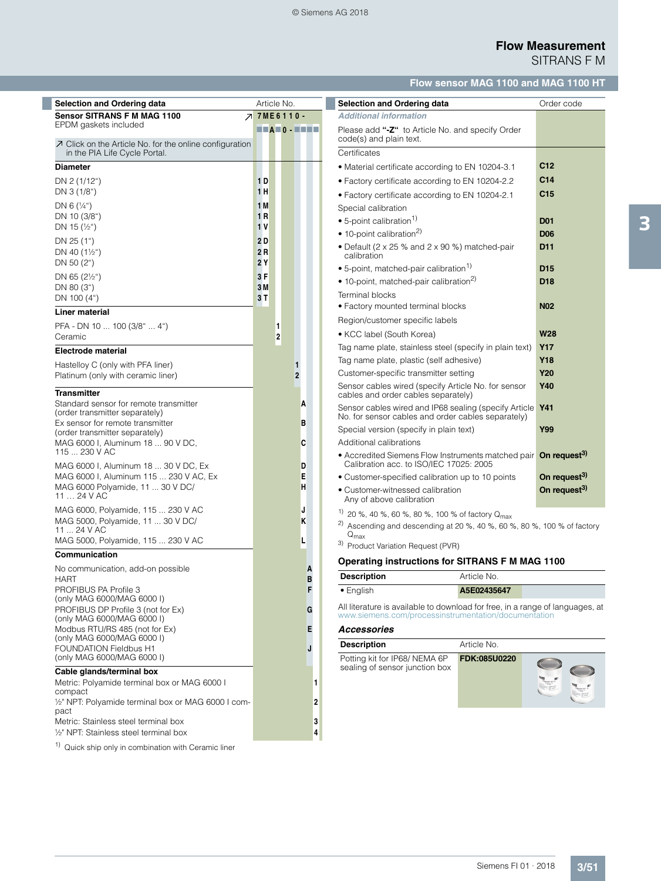### © Siemens AG 2018

# **Flow Measurement** SITRANS F M

# **Flow sensor MAG 1100 and MAG 1100 HT**

| <b>Selection and Ordering data</b>                                                                                                                  |                    | Article No.             |                                                                                                        |        | <b>Selection and Ordering data</b>                                                                                                                                                |              | Order code               |
|-----------------------------------------------------------------------------------------------------------------------------------------------------|--------------------|-------------------------|--------------------------------------------------------------------------------------------------------|--------|-----------------------------------------------------------------------------------------------------------------------------------------------------------------------------------|--------------|--------------------------|
| <b>Sensor SITRANS F M MAG 1100</b>                                                                                                                  | <b>7 7ME6110 -</b> |                         |                                                                                                        |        | <b>Additional information</b>                                                                                                                                                     |              |                          |
| EPDM gaskets included<br>$\nabla$ Click on the Article No. for the online configuration                                                             |                    |                         | $\blacksquare \blacksquare A \blacksquare 0 \cdot \blacksquare \blacksquare \blacksquare \blacksquare$ |        | Please add "-Z" to Article No. and specify Order<br>code(s) and plain text.                                                                                                       |              |                          |
| in the PIA Life Cycle Portal.                                                                                                                       |                    |                         |                                                                                                        |        | Certificates                                                                                                                                                                      |              |                          |
| <b>Diameter</b>                                                                                                                                     |                    |                         |                                                                                                        |        | • Material certificate according to EN 10204-3.1                                                                                                                                  |              | C <sub>12</sub>          |
| DN 2 (1/12")                                                                                                                                        | 1 <sub>D</sub>     |                         |                                                                                                        |        | • Factory certificate according to EN 10204-2.2                                                                                                                                   |              | C <sub>14</sub>          |
| DN 3 (1/8")                                                                                                                                         | 1 H                |                         |                                                                                                        |        | • Factory certificate according to EN 10204-2.1                                                                                                                                   |              | C <sub>15</sub>          |
| DN 6 $(\frac{1}{4})$                                                                                                                                | 1 M                |                         |                                                                                                        |        | Special calibration                                                                                                                                                               |              |                          |
| DN 10 (3/8")                                                                                                                                        | 1 R                |                         |                                                                                                        |        | $\bullet$ 5-point calibration <sup>1)</sup>                                                                                                                                       |              | <b>D01</b>               |
| DN 15 $(\frac{1}{2})$                                                                                                                               | 1 V                |                         |                                                                                                        |        | • 10-point calibration <sup>2)</sup>                                                                                                                                              |              | <b>D06</b>               |
| DN 25 (1")<br>DN 40 $(1\frac{1}{2})$<br>DN 50 (2")                                                                                                  | 2 D<br>2 R<br>2 Y  |                         |                                                                                                        |        | • Default (2 x 25 % and 2 x 90 %) matched-pair<br>calibration                                                                                                                     |              | D <sub>11</sub>          |
|                                                                                                                                                     |                    |                         |                                                                                                        |        | • 5-point, matched-pair calibration <sup>1)</sup>                                                                                                                                 |              | D <sub>15</sub>          |
| DN 65 $(2\frac{1}{2})$<br>DN 80 (3")                                                                                                                | 3 F<br>3 M         |                         |                                                                                                        |        | • 10-point, matched-pair calibration <sup>2)</sup>                                                                                                                                |              | D <sub>18</sub>          |
| DN 100 (4")                                                                                                                                         | 3T                 |                         |                                                                                                        |        | Terminal blocks                                                                                                                                                                   |              |                          |
| Liner material                                                                                                                                      |                    |                         |                                                                                                        |        | • Factory mounted terminal blocks                                                                                                                                                 |              | <b>N02</b>               |
| PFA - DN 10  100 (3/8"  4")                                                                                                                         |                    | 1                       |                                                                                                        |        | Region/customer specific labels                                                                                                                                                   |              |                          |
| Ceramic                                                                                                                                             |                    | $\overline{\mathbf{2}}$ |                                                                                                        |        | • KCC label (South Korea)                                                                                                                                                         |              | <b>W28</b>               |
| <b>Electrode material</b>                                                                                                                           |                    |                         |                                                                                                        |        | Tag name plate, stainless steel (specify in plain text)                                                                                                                           |              | <b>Y17</b>               |
| Hastelloy C (only with PFA liner)                                                                                                                   |                    |                         | 1                                                                                                      |        | Tag name plate, plastic (self adhesive)                                                                                                                                           |              | <b>Y18</b>               |
| Platinum (only with ceramic liner)                                                                                                                  |                    |                         |                                                                                                        |        | Customer-specific transmitter setting                                                                                                                                             |              | <b>Y20</b>               |
| <b>Transmitter</b>                                                                                                                                  |                    |                         |                                                                                                        |        | Sensor cables wired (specify Article No. for sensor<br>cables and order cables separately)                                                                                        |              | <b>Y40</b>               |
| Standard sensor for remote transmitter<br>(order transmitter separately)<br>Ex sensor for remote transmitter                                        |                    |                         | A                                                                                                      |        | Sensor cables wired and IP68 sealing (specify Article Y41<br>No. for sensor cables and order cables separately)                                                                   |              |                          |
| (order transmitter separately)                                                                                                                      |                    |                         | B                                                                                                      |        | Special version (specify in plain text)                                                                                                                                           |              | Y99                      |
| MAG 6000 I, Aluminum 18  90 V DC,                                                                                                                   |                    |                         | C                                                                                                      |        | Additional calibrations                                                                                                                                                           |              |                          |
| 115  230 V AC<br>MAG 6000 I, Aluminum 18  30 V DC, Ex                                                                                               |                    |                         | D                                                                                                      |        | • Accredited Siemens Flow Instruments matched pair On request <sup>3)</sup><br>Calibration acc. to ISO/IEC 17025: 2005                                                            |              |                          |
| MAG 6000 I, Aluminum 115  230 V AC, Ex                                                                                                              |                    |                         | Е                                                                                                      |        | • Customer-specified calibration up to 10 points                                                                                                                                  |              | On request <sup>3)</sup> |
| MAG 6000 Polyamide, 11  30 V DC/<br>11  24 V AC                                                                                                     |                    |                         | н                                                                                                      |        | • Customer-witnessed calibration<br>Any of above calibration                                                                                                                      |              | On request <sup>3)</sup> |
| MAG 6000, Polyamide, 115  230 V AC<br>MAG 5000, Polyamide, 11  30 V DC/<br>11  24 V AC                                                              |                    |                         | J<br>ĸ                                                                                                 |        | <sup>1)</sup> 20 %, 40 %, 60 %, 80 %, 100 % of factory $Q_{\text{max}}$<br><sup>2)</sup> Ascending and descending at 20 %, 40 %, 60 %, 80 %, 100 % of factory<br>$Q_{\text{max}}$ |              |                          |
| MAG 5000, Polyamide, 115  230 V AC                                                                                                                  |                    |                         | L                                                                                                      |        | 3) Product Variation Request (PVR)                                                                                                                                                |              |                          |
| Communication                                                                                                                                       |                    |                         |                                                                                                        |        | Operating instructions for SITRANS F M MAG 1100                                                                                                                                   |              |                          |
| No communication, add-on possible<br><b>HART</b>                                                                                                    |                    |                         |                                                                                                        | A<br>B | <b>Description</b>                                                                                                                                                                | Article No.  |                          |
| PROFIBUS PA Profile 3<br>(only MAG 6000/MAG 6000 I)                                                                                                 |                    |                         |                                                                                                        | F      | • English                                                                                                                                                                         | A5E02435647  |                          |
| PROFIBUS DP Profile 3 (not for Ex)<br>(only MAG 6000/MAG 6000 I)                                                                                    |                    |                         |                                                                                                        | G      | All literature is available to download for free, in a range of languages, at<br>www.siemens.com/processinstrumentation/documentation                                             |              |                          |
| Modbus RTU/RS 485 (not for Ex)                                                                                                                      |                    |                         |                                                                                                        | Е      | <b>Accessories</b>                                                                                                                                                                |              |                          |
| (only MAG 6000/MAG 6000 I)<br><b>FOUNDATION Fieldbus H1</b>                                                                                         |                    |                         |                                                                                                        | J      | <b>Description</b>                                                                                                                                                                | Article No.  |                          |
| (only MAG 6000/MAG 6000 I)                                                                                                                          |                    |                         |                                                                                                        |        | Potting kit for IP68/NEMA 6P                                                                                                                                                      | FDK:085U0220 |                          |
| Cable glands/terminal box<br>Metric: Polyamide terminal box or MAG 6000 I<br>compact<br>1/2" NPT: Polyamide terminal box or MAG 6000 I com-<br>pact |                    |                         |                                                                                                        | 1<br>2 | sealing of sensor junction box                                                                                                                                                    |              | ONE                      |
| Metric: Stainless steel terminal box<br>1/2" NPT: Stainless steel terminal box                                                                      |                    |                         |                                                                                                        | 3<br>4 |                                                                                                                                                                                   |              |                          |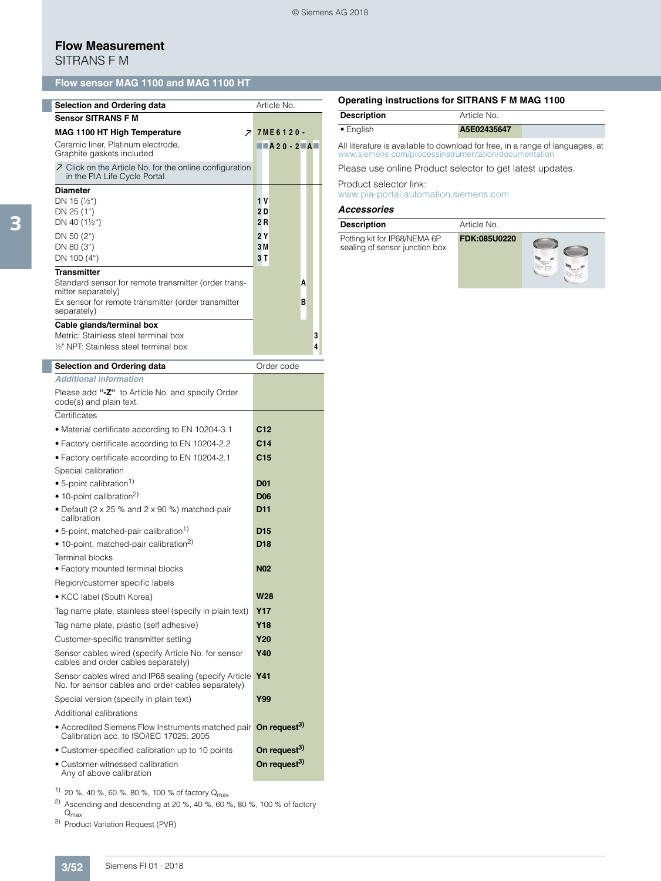#### © Siemens AG 2018

# **Flow Measurement**

SITRANS F M

# **Flow sensor MAG 1100 and MAG 1100 HT**

| <b>Selection and Ordering data</b>                                                                              | Article No. |                                                      |   |   |  |
|-----------------------------------------------------------------------------------------------------------------|-------------|------------------------------------------------------|---|---|--|
| <b>Sensor SITRANS F M</b>                                                                                       |             |                                                      |   |   |  |
| <b>MAG 1100 HT High Temperature</b>                                                                             |             | <b>7 7ME6120-</b>                                    |   |   |  |
| Ceramic liner, Platinum electrode,<br>Graphite gaskets included                                                 |             | $\blacksquare$ A20-2 $\blacksquare$ A $\blacksquare$ |   |   |  |
| $\overline{\mathcal{A}}$ Click on the Article No. for the online configuration<br>in the PIA Life Cycle Portal. |             |                                                      |   |   |  |
| <b>Diameter</b>                                                                                                 |             |                                                      |   |   |  |
| DN 15 $(\frac{1}{2})$                                                                                           | 1 V         |                                                      |   |   |  |
| DN 25 (1")                                                                                                      | 2D          |                                                      |   |   |  |
| DN 40 $(1\frac{1}{2})$                                                                                          | 2R          |                                                      |   |   |  |
| DN 50 (2")                                                                                                      | 2Y          |                                                      |   |   |  |
| DN 80 (3")                                                                                                      | 3M          |                                                      |   |   |  |
| DN 100 (4")                                                                                                     | 3T          |                                                      |   |   |  |
| <b>Transmitter</b>                                                                                              |             |                                                      |   |   |  |
| Standard sensor for remote transmitter (order trans-<br>mitter separately)                                      |             |                                                      | A |   |  |
| Ex sensor for remote transmitter (order transmitter<br>separately)                                              |             |                                                      | в |   |  |
| Cable glands/terminal box                                                                                       |             |                                                      |   |   |  |
| Metric: Stainless steel terminal box                                                                            |             |                                                      |   | 3 |  |
| 1/ <sub>2</sub> NPT: Stainless steel terminal box                                                               |             |                                                      |   | 4 |  |

| Selection and Ordering data                                                                                            | Order code               |
|------------------------------------------------------------------------------------------------------------------------|--------------------------|
| <b>Additional information</b>                                                                                          |                          |
| Please add "-Z" to Article No. and specify Order<br>code(s) and plain text.                                            |                          |
| Certificates                                                                                                           |                          |
| · Material certificate according to EN 10204-3.1                                                                       | C <sub>12</sub>          |
| • Factory certificate according to EN 10204-2.2                                                                        | C <sub>14</sub>          |
| • Factory certificate according to EN 10204-2.1                                                                        | C <sub>15</sub>          |
| Special calibration                                                                                                    |                          |
| • 5-point calibration <sup>1)</sup>                                                                                    | <b>D01</b>               |
| • 10-point calibration <sup>2)</sup>                                                                                   | <b>D06</b>               |
| • Default (2 x 25 % and 2 x 90 %) matched-pair<br>calibration                                                          | D <sub>11</sub>          |
| • 5-point, matched-pair calibration <sup>1)</sup>                                                                      | D <sub>15</sub>          |
| • 10-point, matched-pair calibration <sup>2)</sup>                                                                     | D <sub>18</sub>          |
| Terminal blocks                                                                                                        |                          |
| · Factory mounted terminal blocks                                                                                      | <b>N02</b>               |
| Region/customer specific labels                                                                                        |                          |
| • KCC label (South Korea)                                                                                              | <b>W28</b>               |
| Tag name plate, stainless steel (specify in plain text)                                                                | <b>Y17</b>               |
| Tag name plate, plastic (self adhesive)                                                                                | <b>Y18</b>               |
| Customer-specific transmitter setting                                                                                  | <b>Y20</b>               |
| Sensor cables wired (specify Article No. for sensor<br>cables and order cables separately)                             | <b>Y40</b>               |
| Sensor cables wired and IP68 sealing (specify Article<br>No. for sensor cables and order cables separately)            | <b>Y41</b>               |
| Special version (specify in plain text)                                                                                | Y99                      |
| Additional calibrations                                                                                                |                          |
| • Accredited Siemens Flow Instruments matched pair On request <sup>3)</sup><br>Calibration acc. to ISO/IEC 17025: 2005 |                          |
| • Customer-specified calibration up to 10 points                                                                       | On request <sup>3)</sup> |
| • Customer-witnessed calibration<br>Any of above calibration                                                           | On request <sup>3)</sup> |

<sup>1)</sup> 20 %, 40 %, 60 %, 80 %, 100 % of factory Q<sub>max</sub>

<sup>2)</sup> Ascending and descending at 20 %, 40 %, 60 %, 80 %, 100 % of factory  ${\mathsf Q}_{\mathsf{max}}$ 

3) Product Variation Request (PVR)

### **Operating instructions for SITRANS F M MAG 1100**

| <b>Description</b> | Article No. |  |
|--------------------|-------------|--|
| $\bullet$ English  | A5E02435647 |  |

All literature is available to download for free, in a range of languages, at www.siemens.com/processinstrumentation/documentation

Please use online Product selector to get latest updates.

Product selector link:

www.pia-portal.automation.siemens.com

#### *Accessories*

| <b>Description</b>                                             | Article No.  |  |
|----------------------------------------------------------------|--------------|--|
| Potting kit for IP68/NEMA 6P<br>sealing of sensor junction box | FDK:085U0220 |  |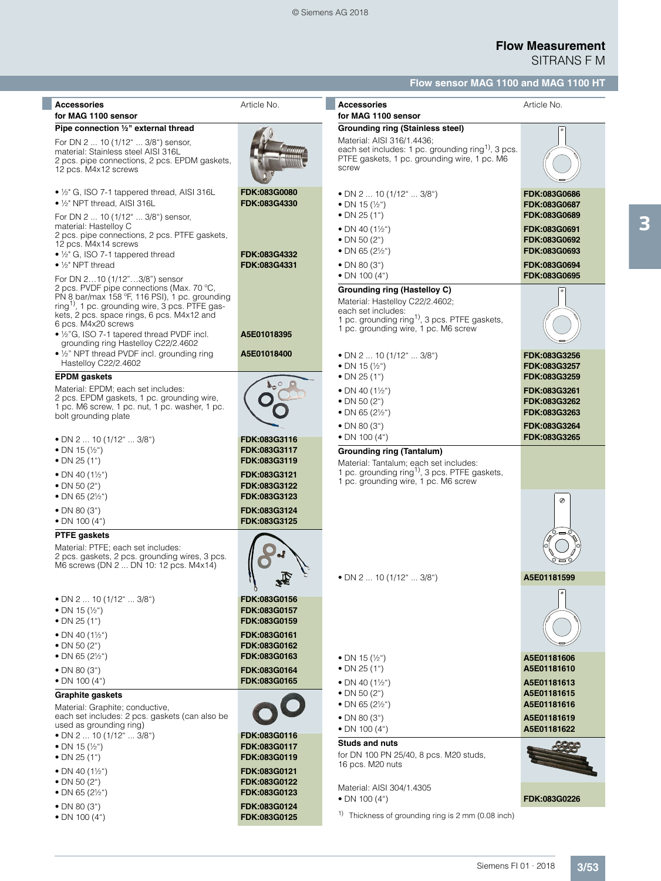| <b>Accessories</b><br>for MAG 1100 sensor                                                                                                                                                                                                                                                                                                                                                                                    | Article No.                                                                                                  | <b>Accessories</b><br>for MAG 1100 sensor                                                                                                                                                                                                         | Article No.                                                                                                                  |
|------------------------------------------------------------------------------------------------------------------------------------------------------------------------------------------------------------------------------------------------------------------------------------------------------------------------------------------------------------------------------------------------------------------------------|--------------------------------------------------------------------------------------------------------------|---------------------------------------------------------------------------------------------------------------------------------------------------------------------------------------------------------------------------------------------------|------------------------------------------------------------------------------------------------------------------------------|
| Pipe connection 1/2" external thread<br>For DN 2  10 (1/12"  3/8") sensor,<br>material: Stainless steel AISI 316L<br>2 pcs. pipe connections, 2 pcs. EPDM gaskets,<br>12 pcs. M4x12 screws                                                                                                                                                                                                                                   |                                                                                                              | Grounding ring (Stainless steel)<br>Material: AISI 316/1.4436;<br>each set includes: 1 pc. grounding ring <sup>1)</sup> , 3 pcs.<br>PTFE gaskets, 1 pc. grounding wire, 1 pc. M6<br>screw                                                         |                                                                                                                              |
| $\bullet$ 1/ <sub>2</sub> " G, ISO 7-1 tappered thread, AISI 316L<br>• 1/2" NPT thread, AISI 316L<br>For DN 2  10 (1/12"  3/8") sensor,<br>material: Hastelloy C<br>2 pcs. pipe connections, 2 pcs. PTFE gaskets,<br>12 pcs. M4x14 screws<br>• $\frac{1}{2}$ G, ISO 7-1 tappered thread<br>$\bullet$ 1/ <sub>2</sub> " NPT thread                                                                                            | FDK:083G0080<br>FDK:083G4330<br>FDK:083G4332<br>FDK:083G4331                                                 | • DN 2 $\dots$ 10 (1/12" $\dots$ 3/8")<br>• DN 15 $(\frac{1}{2})$<br>• DN 25 $(1")$<br>• DN 40 $(1\frac{1}{2})$<br>• DN 50 $(2^{\circ})$<br>• DN 65 $(2\frac{1}{2})$<br>• DN 80 $(3")$<br>• DN 100 $(4")$                                         | FDK:083G0686<br>FDK:083G0687<br>FDK:083G0689<br>FDK:083G0691<br>FDK:083G0692<br>FDK:083G0693<br>FDK:083G0694<br>FDK:083G0695 |
| For DN 210 (1/12"3/8") sensor<br>2 pcs. PVDF pipe connections (Max. 70 °C,<br>PN 8 bar/max 158 °F, 116 PSI), 1 pc. grounding<br>ring <sup>1)</sup> , 1 pc. grounding wire, 3 pcs. PTFE gas-<br>kets, 2 pcs. space rings, 6 pcs. M4x12 and<br>6 pcs. M4x20 screws<br>• 1/2"G, ISO 7-1 tapered thread PVDF incl.<br>grounding ring Hastelloy C22/2.4602<br>• 1/2" NPT thread PVDF incl. grounding ring<br>Hastelloy C22/2.4602 | A5E01018395<br>A5E01018400                                                                                   | Grounding ring (Hastelloy C)<br>Material: Hastelloy C22/2.4602;<br>each set includes:<br>1 pc. grounding ring <sup>1)</sup> , 3 pcs. PTFE gaskets,<br>1 pc. grounding wire, 1 pc. M6 screw<br>• DN 2  10 (1/12"  3/8")<br>• DN 15 $(\frac{1}{2})$ | FDK:083G3256<br>FDK:083G3257                                                                                                 |
| <b>EPDM</b> gaskets<br>Material: EPDM; each set includes:<br>2 pcs. EPDM gaskets, 1 pc. grounding wire,<br>1 pc. M6 screw, 1 pc. nut, 1 pc. washer, 1 pc.<br>bolt grounding plate                                                                                                                                                                                                                                            |                                                                                                              | • DN 25 $(1")$<br>• DN 40 $(1\frac{1}{2})$<br>• DN 50 $(2^{\circ})$<br>• DN 65 $(2\frac{1}{2})$<br>• DN 80 $(3")$                                                                                                                                 | FDK:083G3259<br>FDK:083G3261<br>FDK:083G3262<br>FDK:083G3263<br>FDK:083G3264                                                 |
| • DN 2  10 (1/12"  3/8")<br>• DN 15 $(\frac{1}{2})$<br>• DN 25 $(1")$<br>• DN 40 $(1\frac{1}{2})$<br>• DN 50 $(2^{\circ})$<br>• DN 65 $(2\frac{1}{2})$<br>• DN 80 $(3")$                                                                                                                                                                                                                                                     | FDK:083G3116<br>FDK:083G3117<br>FDK:083G3119<br>FDK:083G3121<br>FDK:083G3122<br>FDK:083G3123<br>FDK:083G3124 | • DN 100 $(4")$<br><b>Grounding ring (Tantalum)</b><br>Material: Tantalum; each set includes:<br>1 pc. grounding ring <sup>1)</sup> , 3 pcs. PTFE gaskets,<br>1 pc. grounding wire, 1 pc. M6 screw                                                | FDK:083G3265<br>Ø                                                                                                            |
| • DN 100 $(4")$<br><b>PTFE</b> gaskets<br>Material: PTFE: each set includes:<br>2 pcs. gaskets, 2 pcs. grounding wires, 3 pcs.<br>M6 screws (DN 2  DN 10: 12 pcs. M4x14)                                                                                                                                                                                                                                                     | FDK:083G3125                                                                                                 | • DN 2 $\dots$ 10 (1/12" $\dots$ 3/8")                                                                                                                                                                                                            | A5E01181599<br>$\bullet$                                                                                                     |
| • DN 2  10 (1/12"  3/8")<br>• DN 15 $(\frac{1}{2})$<br>• DN 25 $(1")$<br>• DN 40 $(1\frac{1}{2})$<br>• DN 50 $(2^{\circ})$<br>• DN 65 $(2\frac{1}{2})$<br>• DN 80 $(3")$                                                                                                                                                                                                                                                     | FDK:083G0156<br>FDK:083G0157<br>FDK:083G0159<br>FDK:083G0161<br>FDK:083G0162<br>FDK:083G0163<br>FDK:083G0164 | • DN 15 $(\frac{1}{2})$<br>• DN 25 $(1")$                                                                                                                                                                                                         | A5E01181606<br>A5E01181610                                                                                                   |
| • DN 100 $(4")$<br><b>Graphite gaskets</b><br>Material: Graphite; conductive,<br>each set includes: 2 pcs. gaskets (can also be<br>used as grounding ring)<br>• DN 2  10 (1/12"  3/8")<br>• DN 15 $(\frac{1}{2})$<br>• DN 25 $(1")$                                                                                                                                                                                          | FDK:083G0165<br>FDK:083G0116<br>FDK:083G0117<br>FDK:083G0119                                                 | • DN 40 $(1\frac{1}{2})$<br>• DN 50 $(2^{\circ})$<br>• DN 65 $(2\frac{1}{2})$<br>• DN 80 $(3")$<br>• DN 100 $(4")$<br><b>Studs and nuts</b><br>for DN 100 PN 25/40, 8 pcs. M20 studs,                                                             | A5E01181613<br>A5E01181615<br>A5E01181616<br>A5E01181619<br>A5E01181622                                                      |
| • DN 40 $(1\frac{1}{2})$<br>• DN 50 $(2^{\circ})$<br>• DN 65 $(2\frac{1}{2})$<br>• DN 80 $(3")$<br>• DN 100 $(4u)$                                                                                                                                                                                                                                                                                                           | FDK:083G0121<br>FDK:083G0122<br>FDK:083G0123<br>FDK:083G0124<br>FDK:083G0125                                 | 16 pcs. M20 nuts<br>Material: AISI 304/1.4305<br>• DN 100 $(4")$<br><sup>1)</sup> Thickness of grounding ring is 2 mm (0.08 inch)                                                                                                                 | FDK:083G0226                                                                                                                 |

3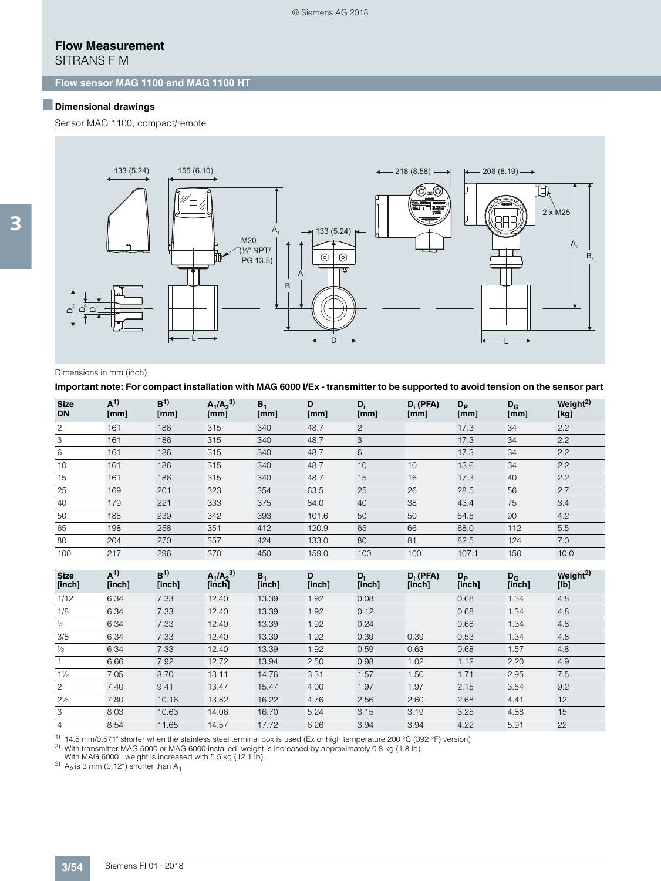# **Flow Measurement**

SITRANS F M

### **Flow sensor MAG 1100 and MAG 1100 HT**

### ■**Dimensional drawings**

Sensor MAG 1100, compact/remote



#### Dimensions in mm (inch)

**Important note: For compact installation with MAG 6000 I/Ex - transmitter to be supported to avoid tension on the sensor part** 

| <b>Size</b><br><b>DN</b> | $A^{1}$<br>[mm] | B <sup>1</sup><br>[mm] | $A_1/A_2^{3)}$<br>[mm] | B <sub>1</sub><br>[mm] | D<br>[mm] | $D_i$<br>[mm] | $D_i$ (PFA)<br>[mm] | $D_{\rm P}$<br>[mm] | $D_{G}$<br>[mm] | Weight <sup>2)</sup><br>[kg] |
|--------------------------|-----------------|------------------------|------------------------|------------------------|-----------|---------------|---------------------|---------------------|-----------------|------------------------------|
| $\mathbf{2}$             | 161             | 186                    | 315                    | 340                    | 48.7      | 2             |                     | 17.3                | 34              | 2.2                          |
| 3                        | 161             | 186                    | 315                    | 340                    | 48.7      | 3             |                     | 17.3                | 34              | 2.2                          |
| 6                        | 161             | 186                    | 315                    | 340                    | 48.7      | 6             |                     | 17.3                | 34              | 2.2                          |
| 10                       | 161             | 186                    | 315                    | 340                    | 48.7      | 10            | 10                  | 13.6                | 34              | 2.2                          |
| 15                       | 161             | 186                    | 315                    | 340                    | 48.7      | 15            | 16                  | 17.3                | 40              | 2.2                          |
| 25                       | 169             | 201                    | 323                    | 354                    | 63.5      | 25            | 26                  | 28.5                | 56              | 2.7                          |
| 40                       | 179             | 221                    | 333                    | 375                    | 84.0      | 40            | 38                  | 43.4                | 75              | 3.4                          |
| 50                       | 188             | 239                    | 342                    | 393                    | 101.6     | 50            | 50                  | 54.5                | 90              | 4.2                          |
| 65                       | 198             | 258                    | 351                    | 412                    | 120.9     | 65            | 66                  | 68.0                | 112             | 5.5                          |
| 80                       | 204             | 270                    | 357                    | 424                    | 133.0     | 80            | 81                  | 82.5                | 124             | 7.0                          |
| 100                      | 217             | 296                    | 370                    | 450                    | 159.0     | 100           | 100                 | 107.1               | 150             | 10.0                         |

| <b>Size</b><br>[inch] | $A^{1}$<br>[inch] | B <sup>1</sup><br>[inch] | $A_1/A_2^{3)}$<br>[inch] | $B_1$<br>[inch] | D<br>[inch] | $D_i$<br>[inch] | $D_i$ (PFA)<br>[inch] | $D_{\rm P}$<br>[inch] | $D_G$<br>[inch] | Weight $\overline{^{2)}}$<br>[lb] |
|-----------------------|-------------------|--------------------------|--------------------------|-----------------|-------------|-----------------|-----------------------|-----------------------|-----------------|-----------------------------------|
| 1/12                  | 6.34              | 7.33                     | 12.40                    | 13.39           | 1.92        | 0.08            |                       | 0.68                  | 1.34            | 4.8                               |
| 1/8                   | 6.34              | 7.33                     | 12.40                    | 13.39           | 1.92        | 0.12            |                       | 0.68                  | 1.34            | 4.8                               |
| $\frac{1}{4}$         | 6.34              | 7.33                     | 12.40                    | 13.39           | 1.92        | 0.24            |                       | 0.68                  | 1.34            | 4.8                               |
| 3/8                   | 6.34              | 7.33                     | 12.40                    | 13.39           | 1.92        | 0.39            | 0.39                  | 0.53                  | 1.34            | 4.8                               |
| $\frac{1}{2}$         | 6.34              | 7.33                     | 12.40                    | 13.39           | 1.92        | 0.59            | 0.63                  | 0.68                  | 1.57            | 4.8                               |
| $\mathbf{1}$          | 6.66              | 7.92                     | 12.72                    | 13.94           | 2.50        | 0.98            | 1.02                  | 1.12                  | 2.20            | 4.9                               |
| $1\frac{1}{2}$        | 7.05              | 8.70                     | 13.11                    | 14.76           | 3.31        | 1.57            | 1.50                  | 1.71                  | 2.95            | 7.5                               |
| $\overline{2}$        | 7.40              | 9.41                     | 13.47                    | 15.47           | 4.00        | 1.97            | 1.97                  | 2.15                  | 3.54            | 9.2                               |
| $2\frac{1}{2}$        | 7.80              | 10.16                    | 13.82                    | 16.22           | 4.76        | 2.56            | 2.60                  | 2.68                  | 4.41            | 12                                |
| 3                     | 8.03              | 10.63                    | 14.06                    | 16.70           | 5.24        | 3.15            | 3.19                  | 3.25                  | 4.88            | 15                                |
| 4                     | 8.54              | 11.65                    | 14.57                    | 17.72           | 6.26        | 3.94            | 3.94                  | 4.22                  | 5.91            | 22                                |
|                       |                   |                          |                          |                 |             |                 |                       |                       |                 |                                   |

1) 14.5 mm/0.571" shorter when the stainless steel terminal box is used (Ex or high temperature 200 °C (392 °F) version)

<sup>2)</sup> With transmitter MAG 5000 or MAG 6000 installed, weight is increased by approximately 0.8 kg (1.8 lb).<br>With MAG 6000 I weight is increased with 5.5 kg (12.1 lb).

 $3)$  A<sub>2</sub> is 3 mm (0.12") shorter than A<sub>1</sub>